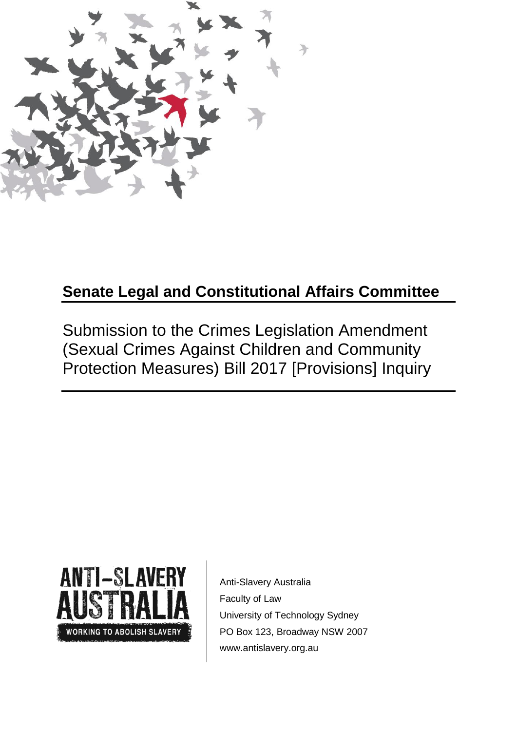

# **Senate Legal and Constitutional Affairs Committee**

Submission to the Crimes Legislation Amendment (Sexual Crimes Against Children and Community Protection Measures) Bill 2017 [Provisions] Inquiry



 Anti-Slavery Australia Faculty of Law University of Technology Sydney PO Box 123, Broadway NSW 2007 www.antislavery.org.au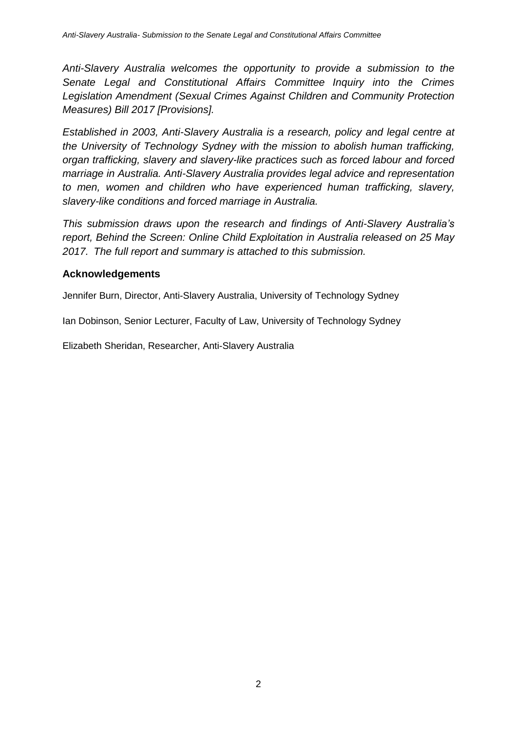*Anti-Slavery Australia welcomes the opportunity to provide a submission to the Senate Legal and Constitutional Affairs Committee Inquiry into the Crimes Legislation Amendment (Sexual Crimes Against Children and Community Protection Measures) Bill 2017 [Provisions].*

*Established in 2003, Anti-Slavery Australia is a research, policy and legal centre at the University of Technology Sydney with the mission to abolish human trafficking, organ trafficking, slavery and slavery-like practices such as forced labour and forced marriage in Australia. Anti-Slavery Australia provides legal advice and representation to men, women and children who have experienced human trafficking, slavery, slavery-like conditions and forced marriage in Australia.*

*This submission draws upon the research and findings of Anti-Slavery Australia's report, Behind the Screen: Online Child Exploitation in Australia released on 25 May 2017. The full report and summary is attached to this submission.*

### **Acknowledgements**

Jennifer Burn, Director, Anti-Slavery Australia, University of Technology Sydney

Ian Dobinson, Senior Lecturer, Faculty of Law, University of Technology Sydney

Elizabeth Sheridan, Researcher, Anti-Slavery Australia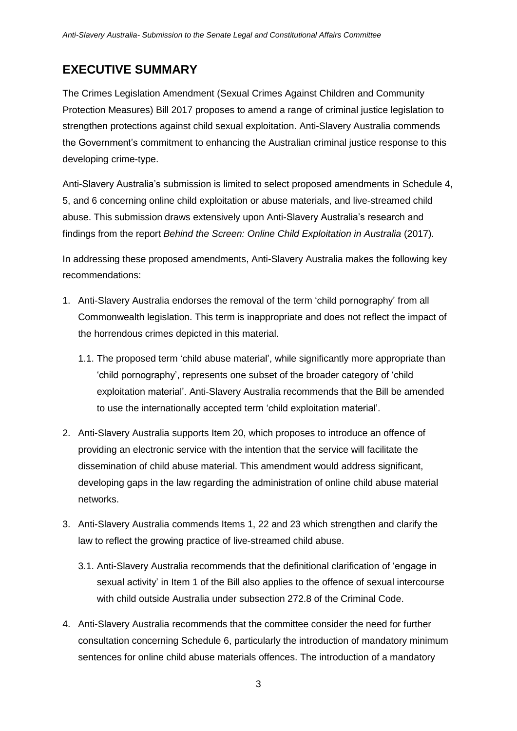## **EXECUTIVE SUMMARY**

The Crimes Legislation Amendment (Sexual Crimes Against Children and Community Protection Measures) Bill 2017 proposes to amend a range of criminal justice legislation to strengthen protections against child sexual exploitation. Anti-Slavery Australia commends the Government's commitment to enhancing the Australian criminal justice response to this developing crime-type.

Anti-Slavery Australia's submission is limited to select proposed amendments in Schedule 4, 5, and 6 concerning online child exploitation or abuse materials, and live-streamed child abuse. This submission draws extensively upon Anti-Slavery Australia's research and findings from the report *Behind the Screen: Online Child Exploitation in Australia* (2017)*.*

In addressing these proposed amendments, Anti-Slavery Australia makes the following key recommendations:

- 1. Anti-Slavery Australia endorses the removal of the term 'child pornography' from all Commonwealth legislation. This term is inappropriate and does not reflect the impact of the horrendous crimes depicted in this material.
	- 1.1. The proposed term 'child abuse material', while significantly more appropriate than 'child pornography', represents one subset of the broader category of 'child exploitation material'. Anti-Slavery Australia recommends that the Bill be amended to use the internationally accepted term 'child exploitation material'.
- 2. Anti-Slavery Australia supports Item 20, which proposes to introduce an offence of providing an electronic service with the intention that the service will facilitate the dissemination of child abuse material. This amendment would address significant, developing gaps in the law regarding the administration of online child abuse material networks.
- 3. Anti-Slavery Australia commends Items 1, 22 and 23 which strengthen and clarify the law to reflect the growing practice of live-streamed child abuse.
	- 3.1. Anti-Slavery Australia recommends that the definitional clarification of 'engage in sexual activity' in Item 1 of the Bill also applies to the offence of sexual intercourse with child outside Australia under subsection 272.8 of the Criminal Code.
- 4. Anti-Slavery Australia recommends that the committee consider the need for further consultation concerning Schedule 6, particularly the introduction of mandatory minimum sentences for online child abuse materials offences. The introduction of a mandatory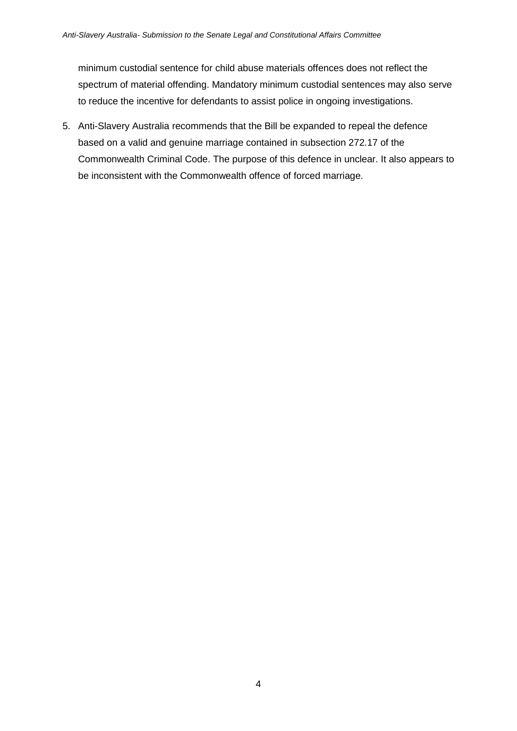minimum custodial sentence for child abuse materials offences does not reflect the spectrum of material offending. Mandatory minimum custodial sentences may also serve to reduce the incentive for defendants to assist police in ongoing investigations.

5. Anti-Slavery Australia recommends that the Bill be expanded to repeal the defence based on a valid and genuine marriage contained in subsection 272.17 of the Commonwealth Criminal Code. The purpose of this defence in unclear. It also appears to be inconsistent with the Commonwealth offence of forced marriage.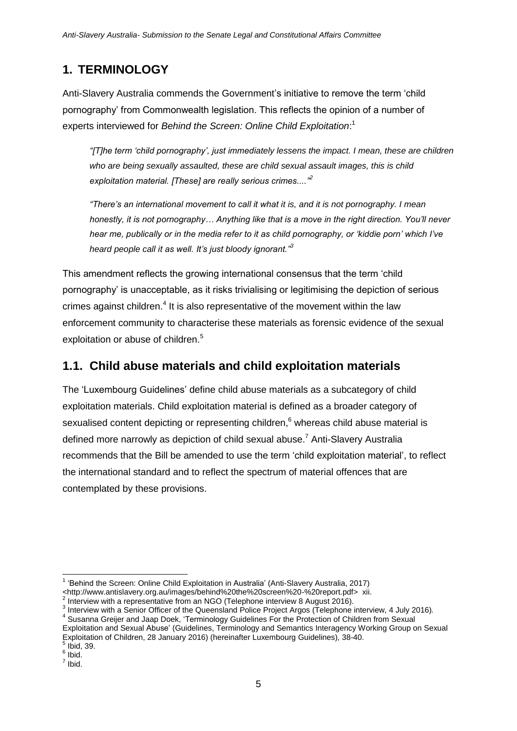## **1. TERMINOLOGY**

Anti-Slavery Australia commends the Government's initiative to remove the term 'child pornography' from Commonwealth legislation. This reflects the opinion of a number of experts interviewed for *Behind the Screen: Online Child Exploitation*: 1

*"[T]he term 'child pornography', just immediately lessens the impact. I mean, these are children who are being sexually assaulted, these are child sexual assault images, this is child exploitation material. [These] are really serious crimes...."<sup>2</sup>*

*"There's an international movement to call it what it is, and it is not pornography. I mean honestly, it is not pornography… Anything like that is a move in the right direction. You'll never hear me, publically or in the media refer to it as child pornography, or 'kiddie porn' which I've heard people call it as well. It's just bloody ignorant."<sup>3</sup>*

This amendment reflects the growing international consensus that the term 'child pornography' is unacceptable, as it risks trivialising or legitimising the depiction of serious crimes against children. $4$  It is also representative of the movement within the law enforcement community to characterise these materials as forensic evidence of the sexual exploitation or abuse of children.<sup>5</sup>

## **1.1. Child abuse materials and child exploitation materials**

The 'Luxembourg Guidelines' define child abuse materials as a subcategory of child exploitation materials. Child exploitation material is defined as a broader category of sexualised content depicting or representing children, $6$  whereas child abuse material is defined more narrowly as depiction of child sexual abuse.<sup>7</sup> Anti-Slavery Australia recommends that the Bill be amended to use the term 'child exploitation material', to reflect the international standard and to reflect the spectrum of material offences that are contemplated by these provisions.

 1 'Behind the Screen: Online Child Exploitation in Australia' (Anti-Slavery Australia, 2017)

<sup>&</sup>lt;http://www.antislavery.org.au/images/behind%20the%20screen%20-%20report.pdf> xii.<br><sup>2</sup> Interview with a representative from an NCO (Telephane interview 8 Avguet 2016).

 $\hat{P}$  Interview with a representative from an NGO (Telephone interview 8 August 2016).

<sup>3</sup> Interview with a Senior Officer of the Queensland Police Project Argos (Telephone interview, 4 July 2016)*.*

<sup>&</sup>lt;sup>4</sup> Susanna Greijer and Jaap Doek, 'Terminology Guidelines For the Protection of Children from Sexual Exploitation and Sexual Abuse' (Guidelines, Terminology and Semantics Interagency Working Group on Sexual Exploitation of Children, 28 January 2016) (hereinafter Luxembourg Guidelines), 38-40.  $<sup>5</sup>$  Ibid, 39.</sup>

 $\frac{6}{7}$  Ibid. Ibid.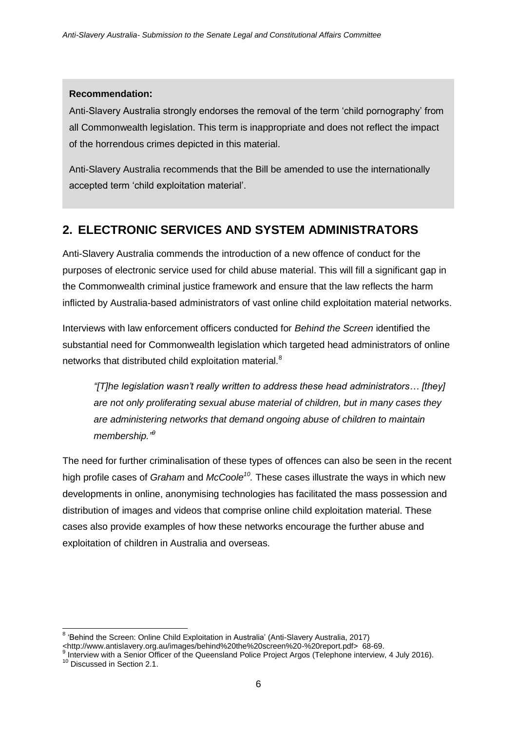### **Recommendation:**

Anti-Slavery Australia strongly endorses the removal of the term 'child pornography' from all Commonwealth legislation. This term is inappropriate and does not reflect the impact of the horrendous crimes depicted in this material.

Anti-Slavery Australia recommends that the Bill be amended to use the internationally accepted term 'child exploitation material'.

## **2. ELECTRONIC SERVICES AND SYSTEM ADMINISTRATORS**

Anti-Slavery Australia commends the introduction of a new offence of conduct for the purposes of electronic service used for child abuse material. This will fill a significant gap in the Commonwealth criminal justice framework and ensure that the law reflects the harm inflicted by Australia-based administrators of vast online child exploitation material networks.

Interviews with law enforcement officers conducted for *Behind the Screen* identified the substantial need for Commonwealth legislation which targeted head administrators of online networks that distributed child exploitation material.<sup>8</sup>

*"[T]he legislation wasn't really written to address these head administrators… [they] are not only proliferating sexual abuse material of children, but in many cases they are administering networks that demand ongoing abuse of children to maintain membership." 9*

The need for further criminalisation of these types of offences can also be seen in the recent high profile cases of *Graham* and *McCoole<sup>10</sup> .* These cases illustrate the ways in which new developments in online, anonymising technologies has facilitated the mass possession and distribution of images and videos that comprise online child exploitation material. These cases also provide examples of how these networks encourage the further abuse and exploitation of children in Australia and overseas.

 8 'Behind the Screen: Online Child Exploitation in Australia' (Anti-Slavery Australia, 2017) <http://www.antislavery.org.au/images/behind%20the%20screen%20-%20report.pdf> 68-69.

<sup>&</sup>lt;sup>9</sup> Interview with a Senior Officer of the Queensland Police Project Argos (Telephone interview, 4 July 2016).

<sup>&</sup>lt;sup>10</sup> Discussed in Section 2.1.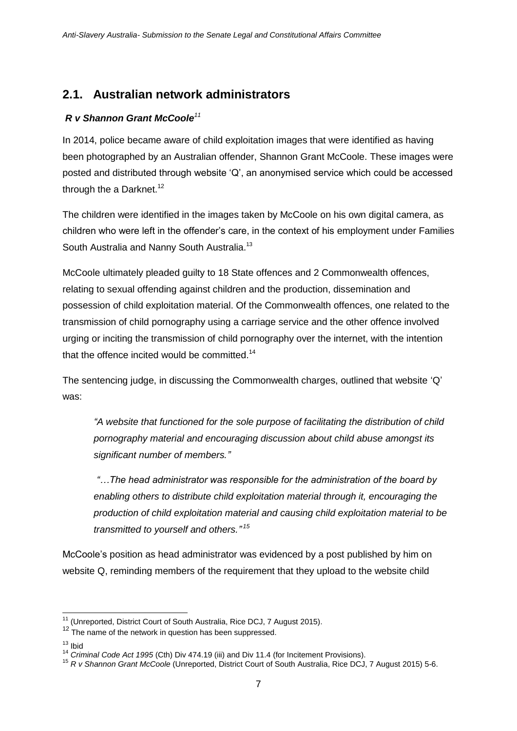## **2.1. Australian network administrators**

### *R v Shannon Grant McCoole<sup>11</sup>*

In 2014, police became aware of child exploitation images that were identified as having been photographed by an Australian offender, Shannon Grant McCoole. These images were posted and distributed through website 'Q', an anonymised service which could be accessed through the a Darknet.<sup>12</sup>

The children were identified in the images taken by McCoole on his own digital camera, as children who were left in the offender's care, in the context of his employment under Families South Australia and Nanny South Australia.<sup>13</sup>

McCoole ultimately pleaded guilty to 18 State offences and 2 Commonwealth offences, relating to sexual offending against children and the production, dissemination and possession of child exploitation material. Of the Commonwealth offences, one related to the transmission of child pornography using a carriage service and the other offence involved urging or inciting the transmission of child pornography over the internet, with the intention that the offence incited would be committed.<sup>14</sup>

The sentencing judge, in discussing the Commonwealth charges, outlined that website 'Q' was:

*"A website that functioned for the sole purpose of facilitating the distribution of child pornography material and encouraging discussion about child abuse amongst its significant number of members."*

*"…The head administrator was responsible for the administration of the board by enabling others to distribute child exploitation material through it, encouraging the production of child exploitation material and causing child exploitation material to be transmitted to yourself and others." 15*

McCoole's position as head administrator was evidenced by a post published by him on website Q, reminding members of the requirement that they upload to the website child

 $\overline{1}$ <sup>11</sup> (Unreported, District Court of South Australia, Rice DCJ, 7 August 2015).

 $12$  The name of the network in question has been suppressed.

 $13$  Ibid

<sup>14</sup> *Criminal Code Act 1995* (Cth) Div 474.19 (iii) and Div 11.4 (for Incitement Provisions).

<sup>15</sup> *R v Shannon Grant McCoole* (Unreported, District Court of South Australia, Rice DCJ, 7 August 2015) 5-6.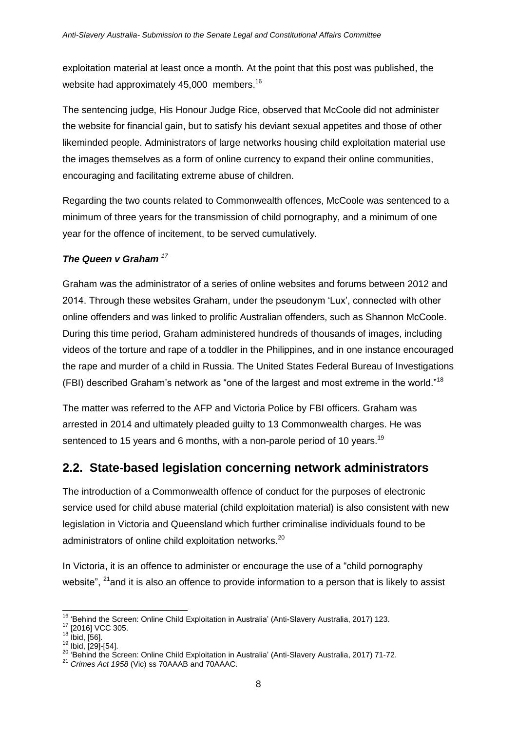exploitation material at least once a month. At the point that this post was published, the website had approximately 45,000 members.<sup>16</sup>

The sentencing judge, His Honour Judge Rice, observed that McCoole did not administer the website for financial gain, but to satisfy his deviant sexual appetites and those of other likeminded people. Administrators of large networks housing child exploitation material use the images themselves as a form of online currency to expand their online communities, encouraging and facilitating extreme abuse of children.

Regarding the two counts related to Commonwealth offences, McCoole was sentenced to a minimum of three years for the transmission of child pornography, and a minimum of one year for the offence of incitement, to be served cumulatively.

### *The Queen v Graham <sup>17</sup>*

Graham was the administrator of a series of online websites and forums between 2012 and 2014. Through these websites Graham, under the pseudonym 'Lux', connected with other online offenders and was linked to prolific Australian offenders, such as Shannon McCoole. During this time period, Graham administered hundreds of thousands of images, including videos of the torture and rape of a toddler in the Philippines, and in one instance encouraged the rape and murder of a child in Russia. The United States Federal Bureau of Investigations (FBI) described Graham's network as "one of the largest and most extreme in the world."<sup>18</sup>

The matter was referred to the AFP and Victoria Police by FBI officers. Graham was arrested in 2014 and ultimately pleaded guilty to 13 Commonwealth charges. He was sentenced to 15 years and 6 months, with a non-parole period of 10 years.<sup>19</sup>

### **2.2. State-based legislation concerning network administrators**

The introduction of a Commonwealth offence of conduct for the purposes of electronic service used for child abuse material (child exploitation material) is also consistent with new legislation in Victoria and Queensland which further criminalise individuals found to be administrators of online child exploitation networks.<sup>20</sup>

In Victoria, it is an offence to administer or encourage the use of a "child pornography website",  $^{21}$  and it is also an offence to provide information to a person that is likely to assist

<sup>17</sup> [2016] VCC 305.

<sup>-</sup><sup>16</sup> 'Behind the Screen: Online Child Exploitation in Australia' (Anti-Slavery Australia, 2017) 123.

 $18 \frac{[2010]}{16}$  ibid, [56].

 $^{19}$  Ibid, [29]-[54].

<sup>&</sup>lt;sup>20</sup> 'Behind the Screen: Online Child Exploitation in Australia' (Anti-Slavery Australia, 2017) 71-72.

<sup>21</sup> *Crimes Act 1958* (Vic) ss 70AAAB and 70AAAC.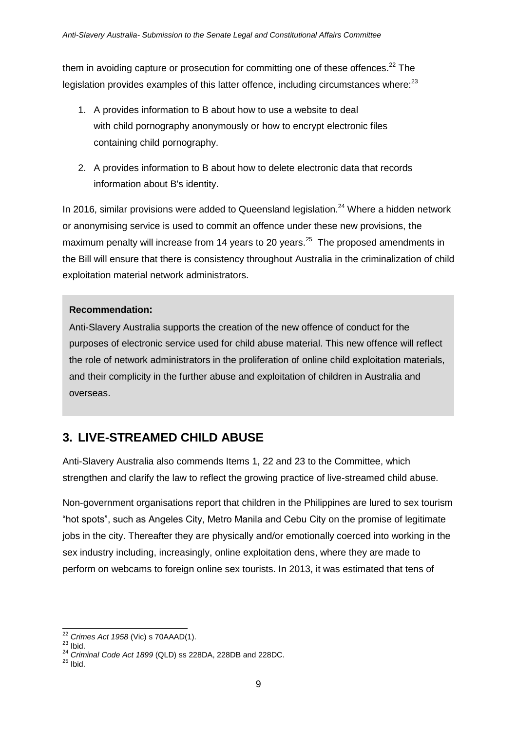them in avoiding capture or prosecution for committing one of these offences. $^{22}$  The legislation provides examples of this latter offence, including circumstances where: $23$ 

- 1. A provides information to B about how to use a website to deal with child pornography anonymously or how to encrypt electronic files containing child pornography.
- 2. A provides information to B about how to delete electronic data that records information about B's identity.

In 2016, similar provisions were added to Queensland legislation.<sup>24</sup> Where a hidden network or anonymising service is used to commit an offence under these new provisions, the maximum penalty will increase from 14 years to 20 years.<sup>25</sup> The proposed amendments in the Bill will ensure that there is consistency throughout Australia in the criminalization of child exploitation material network administrators.

### **Recommendation:**

Anti-Slavery Australia supports the creation of the new offence of conduct for the purposes of electronic service used for child abuse material. This new offence will reflect the role of network administrators in the proliferation of online child exploitation materials, and their complicity in the further abuse and exploitation of children in Australia and overseas.

## **3. LIVE-STREAMED CHILD ABUSE**

Anti-Slavery Australia also commends Items 1, 22 and 23 to the Committee, which strengthen and clarify the law to reflect the growing practice of live-streamed child abuse.

Non-government organisations report that children in the Philippines are lured to sex tourism "hot spots", such as Angeles City, Metro Manila and Cebu City on the promise of legitimate jobs in the city. Thereafter they are physically and/or emotionally coerced into working in the sex industry including, increasingly, online exploitation dens, where they are made to perform on webcams to foreign online sex tourists. In 2013, it was estimated that tens of

<sup>-</sup><sup>22</sup> *Crimes Act 1958* (Vic) s 70AAAD(1).

 $23$  lbid.

<sup>24</sup> *Criminal Code Act 1899* (QLD) ss 228DA, 228DB and 228DC.

 $25$  Ibid.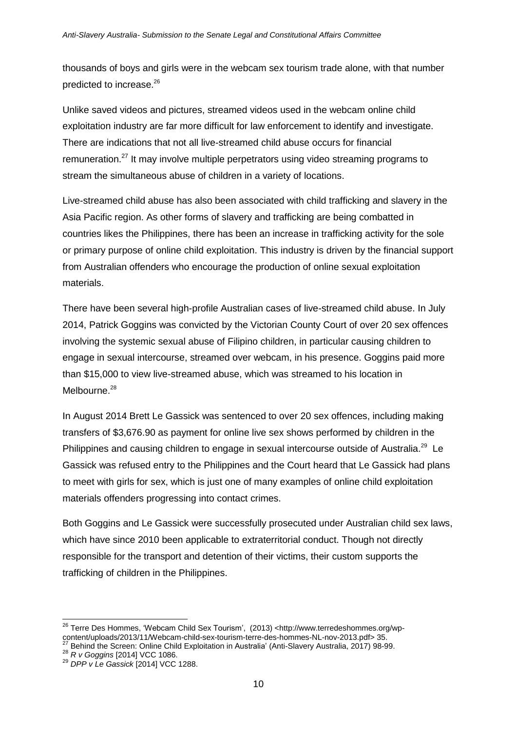thousands of boys and girls were in the webcam sex tourism trade alone, with that number predicted to increase.<sup>26</sup>

Unlike saved videos and pictures, streamed videos used in the webcam online child exploitation industry are far more difficult for law enforcement to identify and investigate. There are indications that not all live-streamed child abuse occurs for financial remuneration.<sup>27</sup> It may involve multiple perpetrators using video streaming programs to stream the simultaneous abuse of children in a variety of locations.

Live-streamed child abuse has also been associated with child trafficking and slavery in the Asia Pacific region. As other forms of slavery and trafficking are being combatted in countries likes the Philippines, there has been an increase in trafficking activity for the sole or primary purpose of online child exploitation. This industry is driven by the financial support from Australian offenders who encourage the production of online sexual exploitation materials.

There have been several high-profile Australian cases of live-streamed child abuse. In July 2014, Patrick Goggins was convicted by the Victorian County Court of over 20 sex offences involving the systemic sexual abuse of Filipino children, in particular causing children to engage in sexual intercourse, streamed over webcam, in his presence. Goggins paid more than \$15,000 to view live-streamed abuse, which was streamed to his location in  $M$ elbourne.<sup>28</sup>

In August 2014 Brett Le Gassick was sentenced to over 20 sex offences, including making transfers of \$3,676.90 as payment for online live sex shows performed by children in the Philippines and causing children to engage in sexual intercourse outside of Australia.<sup>29</sup> Le Gassick was refused entry to the Philippines and the Court heard that Le Gassick had plans to meet with girls for sex, which is just one of many examples of online child exploitation materials offenders progressing into contact crimes.

Both Goggins and Le Gassick were successfully prosecuted under Australian child sex laws, which have since 2010 been applicable to extraterritorial conduct. Though not directly responsible for the transport and detention of their victims, their custom supports the trafficking of children in the Philippines.

 $\overline{a}$ <sup>26</sup> Terre Des Hommes, 'Webcam Child Sex Tourism', (2013) <http://www.terredeshommes.org/wpcontent/uploads/2013/11/Webcam-child-sex-tourism-terre-des-hommes-NL-nov-2013.pdf> 35.

 $27$  Behind the Screen: Online Child Exploitation in Australia' (Anti-Slavery Australia, 2017) 98-99.

<sup>28</sup> *R v Goggins* [2014] VCC 1086.

<sup>29</sup> *DPP v Le Gassick* [2014] VCC 1288.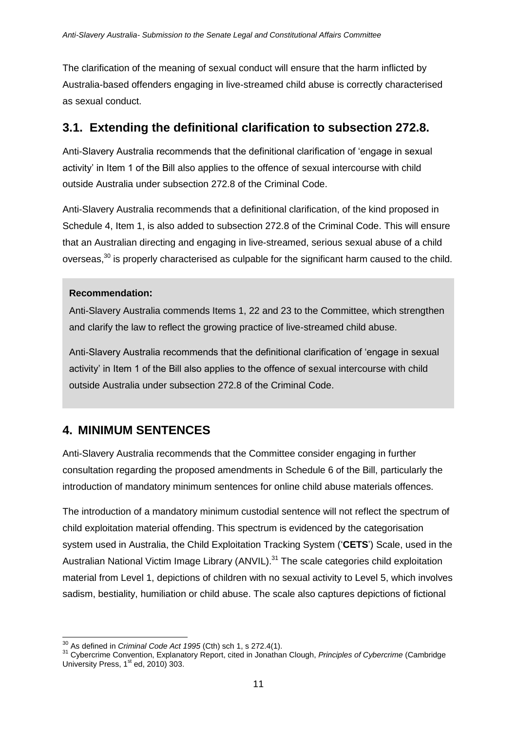The clarification of the meaning of sexual conduct will ensure that the harm inflicted by Australia-based offenders engaging in live-streamed child abuse is correctly characterised as sexual conduct.

### **3.1. Extending the definitional clarification to subsection 272.8.**

Anti-Slavery Australia recommends that the definitional clarification of 'engage in sexual activity' in Item 1 of the Bill also applies to the offence of sexual intercourse with child outside Australia under subsection 272.8 of the Criminal Code.

Anti-Slavery Australia recommends that a definitional clarification, of the kind proposed in Schedule 4, Item 1, is also added to subsection 272.8 of the Criminal Code. This will ensure that an Australian directing and engaging in live-streamed, serious sexual abuse of a child overseas,<sup>30</sup> is properly characterised as culpable for the significant harm caused to the child.

#### **Recommendation:**

Anti-Slavery Australia commends Items 1, 22 and 23 to the Committee, which strengthen and clarify the law to reflect the growing practice of live-streamed child abuse.

Anti-Slavery Australia recommends that the definitional clarification of 'engage in sexual activity' in Item 1 of the Bill also applies to the offence of sexual intercourse with child outside Australia under subsection 272.8 of the Criminal Code.

## **4. MINIMUM SENTENCES**

Anti-Slavery Australia recommends that the Committee consider engaging in further consultation regarding the proposed amendments in Schedule 6 of the Bill, particularly the introduction of mandatory minimum sentences for online child abuse materials offences.

The introduction of a mandatory minimum custodial sentence will not reflect the spectrum of child exploitation material offending. This spectrum is evidenced by the categorisation system used in Australia, the Child Exploitation Tracking System ('**CETS**') Scale, used in the Australian National Victim Image Library (ANVIL).<sup>31</sup> The scale categories child exploitation material from Level 1, depictions of children with no sexual activity to Level 5, which involves sadism, bestiality, humiliation or child abuse. The scale also captures depictions of fictional

 $\overline{a}$ <sup>30</sup> As defined in *Criminal Code Act 1995* (Cth) sch 1, s 272.4(1).

<sup>31</sup> Cybercrime Convention, Explanatory Report, cited in Jonathan Clough, *Principles of Cybercrime* (Cambridge University Press,  $1<sup>st</sup>$  ed, 2010) 303.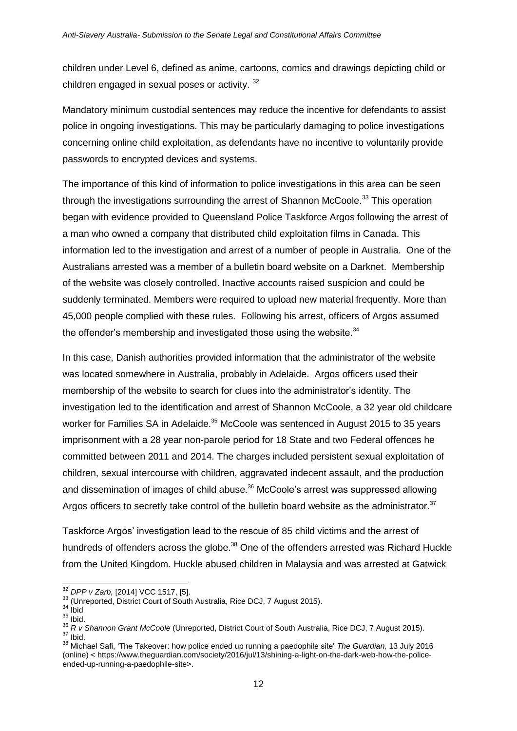children under Level 6, defined as anime, cartoons, comics and drawings depicting child or children engaged in sexual poses or activity.<sup>32</sup>

Mandatory minimum custodial sentences may reduce the incentive for defendants to assist police in ongoing investigations. This may be particularly damaging to police investigations concerning online child exploitation, as defendants have no incentive to voluntarily provide passwords to encrypted devices and systems.

The importance of this kind of information to police investigations in this area can be seen through the investigations surrounding the arrest of Shannon McCoole.<sup>33</sup> This operation began with evidence provided to Queensland Police Taskforce Argos following the arrest of a man who owned a company that distributed child exploitation films in Canada. This information led to the investigation and arrest of a number of people in Australia. One of the Australians arrested was a member of a bulletin board website on a Darknet. Membership of the website was closely controlled. Inactive accounts raised suspicion and could be suddenly terminated. Members were required to upload new material frequently. More than 45,000 people complied with these rules. Following his arrest, officers of Argos assumed the offender's membership and investigated those using the website. $34$ 

In this case, Danish authorities provided information that the administrator of the website was located somewhere in Australia, probably in Adelaide. Argos officers used their membership of the website to search for clues into the administrator's identity. The investigation led to the identification and arrest of Shannon McCoole, a 32 year old childcare worker for Families SA in Adelaide.<sup>35</sup> McCoole was sentenced in August 2015 to 35 years imprisonment with a 28 year non-parole period for 18 State and two Federal offences he committed between 2011 and 2014. The charges included persistent sexual exploitation of children, sexual intercourse with children, aggravated indecent assault, and the production and dissemination of images of child abuse.<sup>36</sup> McCoole's arrest was suppressed allowing Argos officers to secretly take control of the bulletin board website as the administrator. $37$ 

Taskforce Argos' investigation lead to the rescue of 85 child victims and the arrest of hundreds of offenders across the globe.<sup>38</sup> One of the offenders arrested was Richard Huckle from the United Kingdom. Huckle abused children in Malaysia and was arrested at Gatwick

-

<sup>32</sup> *DPP v Zarb,* [2014] VCC 1517, [5].

<sup>&</sup>lt;sup>33</sup> (Unreported, District Court of South Australia, Rice DCJ, 7 August 2015).

 $34$  lbid

 $35$  lbid.

<sup>36</sup> *R v Shannon Grant McCoole* (Unreported, District Court of South Australia, Rice DCJ, 7 August 2015).  $37$  Ibid.

<sup>38</sup> Michael Safi, 'The Takeover: how police ended up running a paedophile site' *The Guardian,* 13 July 2016 (online) < https://www.theguardian.com/society/2016/jul/13/shining-a-light-on-the-dark-web-how-the-policeended-up-running-a-paedophile-site>.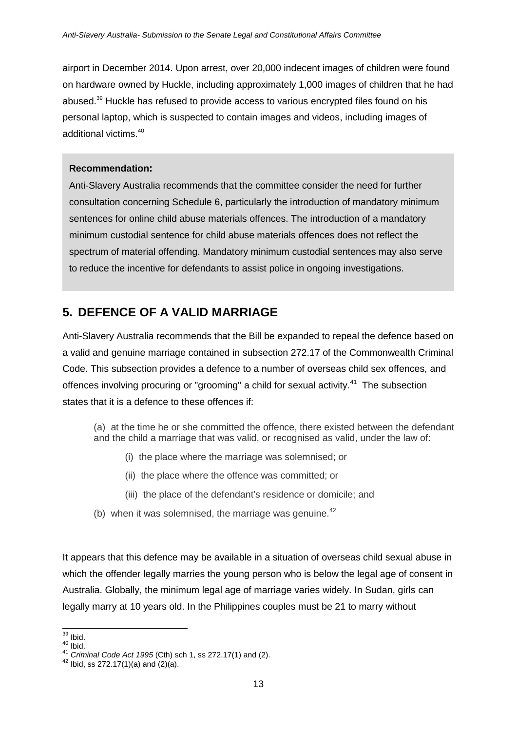airport in December 2014. Upon arrest, over 20,000 indecent images of children were found on hardware owned by Huckle, including approximately 1,000 images of children that he had abused.<sup>39</sup> Huckle has refused to provide access to various encrypted files found on his personal laptop, which is suspected to contain images and videos, including images of additional victims.<sup>40</sup>

#### **Recommendation:**

Anti-Slavery Australia recommends that the committee consider the need for further consultation concerning Schedule 6, particularly the introduction of mandatory minimum sentences for online child abuse materials offences. The introduction of a mandatory minimum custodial sentence for child abuse materials offences does not reflect the spectrum of material offending. Mandatory minimum custodial sentences may also serve to reduce the incentive for defendants to assist police in ongoing investigations.

## **5. DEFENCE OF A VALID MARRIAGE**

Anti-Slavery Australia recommends that the Bill be expanded to repeal the defence based on a valid and genuine marriage contained in subsection 272.17 of the Commonwealth Criminal Code. This subsection provides a defence to a number of overseas child sex offences, and offences involving procuring or "grooming" a child for sexual activity.<sup>41</sup> The subsection states that it is a defence to these offences if:

(a) at the time he or she committed the offence, there existed between the defendant and the child a marriage that was valid, or recognised as valid, under the law of:

- (i) the place where the marriage was solemnised; or
- (ii) the place where the offence was committed; or
- (iii) the place of the defendant's residence or domicile; and
- (b) when it was solemnised, the marriage was genuine. $42$

It appears that this defence may be available in a situation of overseas child sexual abuse in which the offender legally marries the young person who is below the legal age of consent in Australia. Globally, the minimum legal age of marriage varies widely. In Sudan, girls can legally marry at 10 years old. In the Philippines couples must be 21 to marry without

<sup>-</sup> $39$  Ibid.

 $40$  Ibid.

<sup>41</sup> *Criminal Code Act 1995* (Cth) sch 1, ss 272.17(1) and (2).

 $42$  Ibid, ss 272.17(1)(a) and (2)(a).